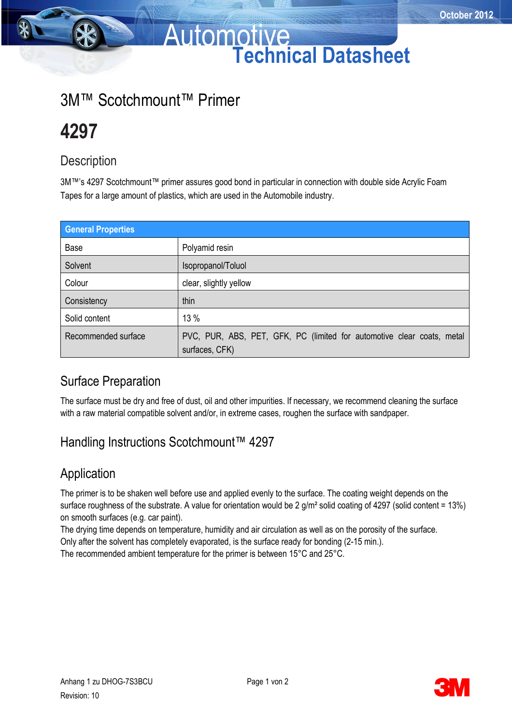## Automotive **Technical Datasheet**

## 3M™ Scotchmount™ Primer

# **4297**

#### **Description**

3M™'s 4297 Scotchmount™ primer assures good bond in particular in connection with double side Acrylic Foam Tapes for a large amount of plastics, which are used in the Automobile industry.

| <b>General Properties</b> |                                                                                          |
|---------------------------|------------------------------------------------------------------------------------------|
| Base                      | Polyamid resin                                                                           |
| Solvent                   | Isopropanol/Toluol                                                                       |
| Colour                    | clear, slightly yellow                                                                   |
| Consistency               | thin                                                                                     |
| Solid content             | 13 %                                                                                     |
| Recommended surface       | PVC, PUR, ABS, PET, GFK, PC (limited for automotive clear coats, metal<br>surfaces, CFK) |

### Surface Preparation

The surface must be dry and free of dust, oil and other impurities. If necessary, we recommend cleaning the surface with a raw material compatible solvent and/or, in extreme cases, roughen the surface with sandpaper.

### Handling Instructions Scotchmount™ 4297

### Application

The primer is to be shaken well before use and applied evenly to the surface. The coating weight depends on the surface roughness of the substrate. A value for orientation would be 2 g/m<sup>2</sup> solid coating of 4297 (solid content = 13%) on smooth surfaces (e.g. car paint).

The drying time depends on temperature, humidity and air circulation as well as on the porosity of the surface.

Only after the solvent has completely evaporated, is the surface ready for bonding (2-15 min.).

The recommended ambient temperature for the primer is between 15°C and 25°C.